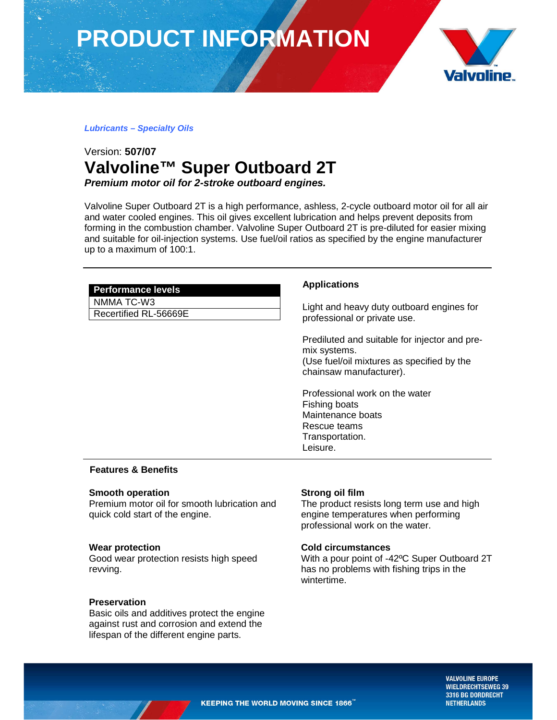# **PRODUCT INFORMATION**



**Lubricants – Specialty Oils** 

# Version: **507/07 Valvoline™ Super Outboard 2T Premium motor oil for 2-stroke outboard engines.**

Valvoline Super Outboard 2T is a high performance, ashless, 2-cycle outboard motor oil for all air and water cooled engines. This oil gives excellent lubrication and helps prevent deposits from forming in the combustion chamber. Valvoline Super Outboard 2T is pre-diluted for easier mixing and suitable for oil-injection systems. Use fuel/oil ratios as specified by the engine manufacturer up to a maximum of 100:1.

| <b>Performance levels</b> |  |
|---------------------------|--|
| NMMA TC-W3                |  |
| Recertified RL-56669E     |  |

# **Applications**

Light and heavy duty outboard engines for professional or private use.

Prediluted and suitable for injector and premix systems. (Use fuel/oil mixtures as specified by the chainsaw manufacturer).

Professional work on the water Fishing boats Maintenance boats Rescue teams Transportation. Leisure.

## **Features & Benefits**

## **Smooth operation**

Premium motor oil for smooth lubrication and quick cold start of the engine.

## **Wear protection**

Good wear protection resists high speed revving.

## **Preservation**

Basic oils and additives protect the engine against rust and corrosion and extend the lifespan of the different engine parts.

## **Strong oil film**

The product resists long term use and high engine temperatures when performing professional work on the water.

#### **Cold circumstances**

With a pour point of -42ºC Super Outboard 2T has no problems with fishing trips in the wintertime.

> **VALVOLINE EUROPE WIELDRECHTSEWEG 39** 3316 BG DORDRECHT **NETHERLANDS**